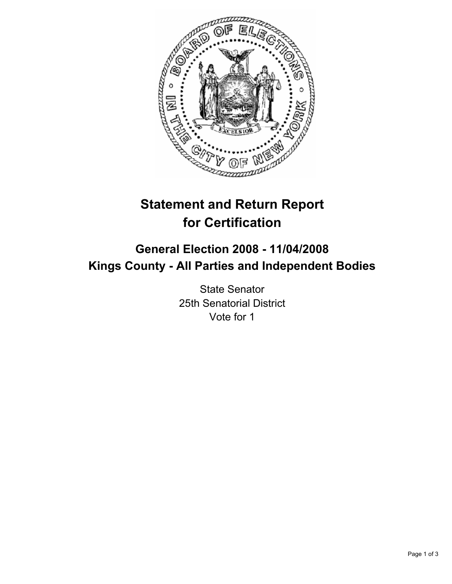

# **Statement and Return Report for Certification**

## **General Election 2008 - 11/04/2008 Kings County - All Parties and Independent Bodies**

State Senator 25th Senatorial District Vote for 1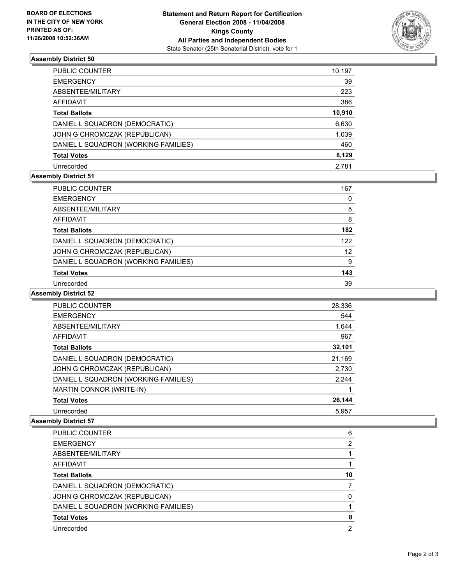

### **Assembly District 50**

| PUBLIC COUNTER                       | 10,197 |
|--------------------------------------|--------|
| <b>EMERGENCY</b>                     | 39     |
| ABSENTEE/MILITARY                    | 223    |
| <b>AFFIDAVIT</b>                     | 386    |
| <b>Total Ballots</b>                 | 10,910 |
| DANIEL L SQUADRON (DEMOCRATIC)       | 6,630  |
| JOHN G CHROMCZAK (REPUBLICAN)        | 1,039  |
| DANIEL L SQUADRON (WORKING FAMILIES) | 460    |
| <b>Total Votes</b>                   | 8,129  |
| Unrecorded                           | 2.781  |

### **Assembly District 51**

| PUBLIC COUNTER                       | 167 |
|--------------------------------------|-----|
| <b>EMERGENCY</b>                     | U   |
| ABSENTEE/MILITARY                    | 5   |
| <b>AFFIDAVIT</b>                     | 8   |
| <b>Total Ballots</b>                 | 182 |
| DANIEL L SQUADRON (DEMOCRATIC)       | 122 |
| JOHN G CHROMCZAK (REPUBLICAN)        | 12  |
| DANIEL L SQUADRON (WORKING FAMILIES) | 9   |
| <b>Total Votes</b>                   | 143 |
| Unrecorded                           | 39  |

#### **Assembly District 52**

| PUBLIC COUNTER                       | 28,336 |
|--------------------------------------|--------|
| <b>EMERGENCY</b>                     | 544    |
| ABSENTEE/MILITARY                    | 1,644  |
| AFFIDAVIT                            | 967    |
| <b>Total Ballots</b>                 | 32,101 |
| DANIEL L SQUADRON (DEMOCRATIC)       | 21,169 |
| JOHN G CHROMCZAK (REPUBLICAN)        | 2,730  |
| DANIEL L SQUADRON (WORKING FAMILIES) | 2,244  |
| MARTIN CONNOR (WRITE-IN)             |        |
| <b>Total Votes</b>                   | 26,144 |
| Unrecorded                           | 5.957  |

#### **Assembly District 57**

| <b>PUBLIC COUNTER</b>                |    |
|--------------------------------------|----|
|                                      |    |
| <b>EMERGENCY</b>                     |    |
| ABSENTEE/MILITARY                    |    |
| AFFIDAVIT                            |    |
| <b>Total Ballots</b>                 | 10 |
| DANIEL L SQUADRON (DEMOCRATIC)       |    |
| JOHN G CHROMCZAK (REPUBLICAN)        |    |
| DANIEL L SQUADRON (WORKING FAMILIES) |    |
| <b>Total Votes</b>                   |    |
| Unrecorded                           |    |